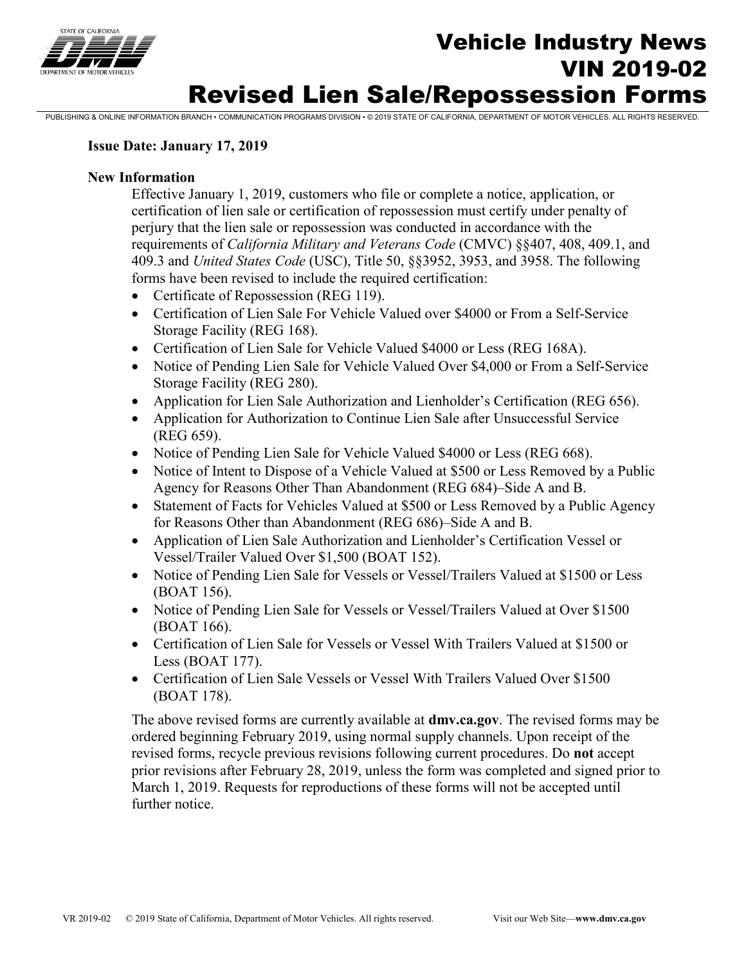

## **Vehicle Industry News**<br>
The *News* VIN 2019-02 Revised Lien Sale/Repossession Forms

PUBLISHING & ONLINE INFORMATION BRANCH • COMMUNICATION PROGRAMS DIVISION • © 2019 STATE OF CALIFORNIA, DEPARTMENT OF MOTOR VEHICLES. ALL RIGHTS RESERVED.

#### **Issue Date: January 17, 2019**

#### **New Information**

Effective January 1, 2019, customers who file or complete a notice, application, or certification of lien sale or certification of repossession must certify under penalty of perjury that the lien sale or repossession was conducted in accordance with the requirements of *California Military and Veterans Code* (CMVC) §§407, 408, 409.1, and 409.3 and *United States Code* (USC), Title 50, §§3952, 3953, and 3958. The following forms have been revised to include the required certification:

- Certificate of Repossession (REG 119).
- Certification of Lien Sale For Vehicle Valued over \$4000 or From a Self-Service Storage Facility (REG 168).
- Certification of Lien Sale for Vehicle Valued \$4000 or Less (REG 168A).
- Notice of Pending Lien Sale for Vehicle Valued Over \$4,000 or From a Self-Service Storage Facility (REG 280).
- Application for Lien Sale Authorization and Lienholder's Certification (REG 656).
- Application for Authorization to Continue Lien Sale after Unsuccessful Service (REG 659).
- Notice of Pending Lien Sale for Vehicle Valued \$4000 or Less (REG 668).
- Notice of Intent to Dispose of a Vehicle Valued at \$500 or Less Removed by a Public Agency for Reasons Other Than Abandonment (REG 684)–Side A and B.
- Statement of Facts for Vehicles Valued at \$500 or Less Removed by a Public Agency for Reasons Other than Abandonment (REG 686)–Side A and B.
- Application of Lien Sale Authorization and Lienholder's Certification Vessel or Vessel/Trailer Valued Over \$1,500 (BOAT 152).
- Notice of Pending Lien Sale for Vessels or Vessel/Trailers Valued at \$1500 or Less (BOAT 156).
- Notice of Pending Lien Sale for Vessels or Vessel/Trailers Valued at Over \$1500 (BOAT 166).
- Certification of Lien Sale for Vessels or Vessel With Trailers Valued at \$1500 or Less (BOAT 177).
- Certification of Lien Sale Vessels or Vessel With Trailers Valued Over \$1500 (BOAT 178).

The above revised forms are currently available at **dmv.ca.gov**. The revised forms may be ordered beginning February 2019, using normal supply channels. Upon receipt of the revised forms, recycle previous revisions following current procedures. Do **not** accept prior revisions after February 28, 2019, unless the form was completed and signed prior to March 1, 2019. Requests for reproductions of these forms will not be accepted until further notice.